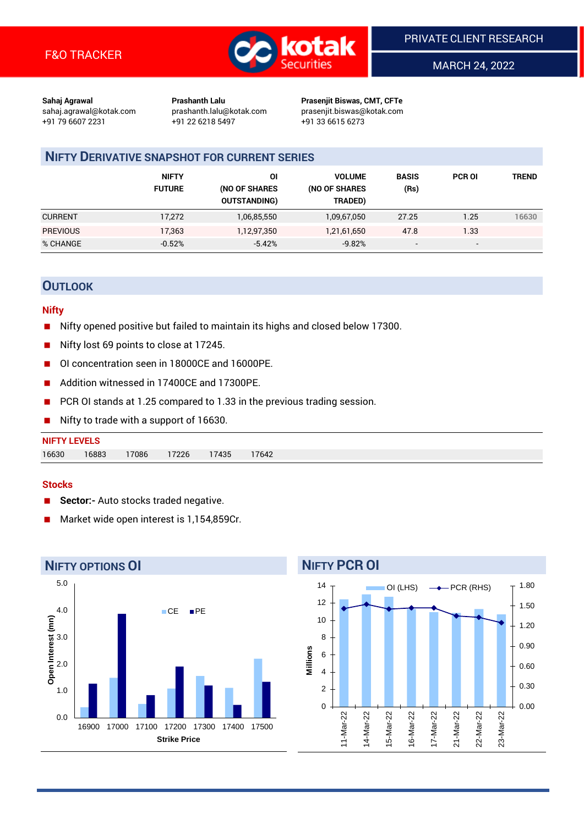

MARCH 24, 2022

**Sahaj Agrawal Prashanth Lalu Prasenjit Biswas, CMT, CFTe** +91 79 6607 2231 +91 22 6218 5497 +91 33 6615 6273

sahaj.agrawal@kotak.com [prashanth.lalu@kotak.com](mailto:prashanth.lalu@kotak.com) prasenjit.biswas@kotak.com

## **NIFTY DERIVATIVE SNAPSHOT FOR CURRENT SERIES**

|                 | <b>NIFTY</b><br><b>FUTURE</b> | ΟI<br>(NO OF SHARES<br><b>OUTSTANDING)</b> | <b>VOLUME</b><br>(NO OF SHARES<br>TRADED) | <b>BASIS</b><br>(Rs)     | <b>PCR OI</b>            | TREND |
|-----------------|-------------------------------|--------------------------------------------|-------------------------------------------|--------------------------|--------------------------|-------|
| <b>CURRENT</b>  | 17,272                        | 1,06,85,550                                | 1,09,67,050                               | 27.25                    | 1.25                     | 16630 |
| <b>PREVIOUS</b> | 17,363                        | 1,12,97,350                                | 1,21,61,650                               | 47.8                     | 1.33                     |       |
| % CHANGE        | $-0.52%$                      | $-5.42%$                                   | $-9.82%$                                  | $\overline{\phantom{a}}$ | $\overline{\phantom{a}}$ |       |

## **OUTLOOK**

#### **Nifty**

- Nifty opened positive but failed to maintain its highs and closed below 17300.
- Nifty lost 69 points to close at 17245.
- OI concentration seen in 18000CE and 16000PE.
- Addition witnessed in 17400CF and 17300PF.
- PCR OI stands at 1.25 compared to 1.33 in the previous trading session.
- Nifty to trade with a support of 16630.

# **NIFTY LEVELS** 16630 16883 17086 17226 17435 17642

#### **Stocks**

- **Sector:-** Auto stocks traded negative.
- Market wide open interest is 1,154,859Cr.



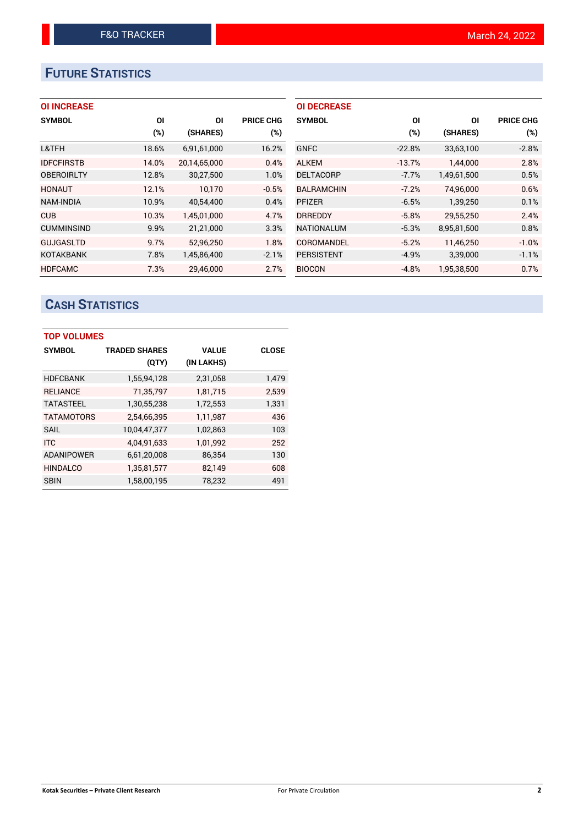# **FUTURE STATISTICS**

| <b>OI INCREASE</b> |  |  |  |  |
|--------------------|--|--|--|--|
|--------------------|--|--|--|--|

| <b>SYMBOL</b>     | <b>OI</b> | ΟI           | <b>PRICE CHG</b> |
|-------------------|-----------|--------------|------------------|
|                   | $(\%)$    | (SHARES)     | $(\%)$           |
| L&TFH             | 18.6%     | 6,91,61,000  | 16.2%            |
| <b>IDFCFIRSTB</b> | 14.0%     | 20,14,65,000 | 0.4%             |
| <b>OBEROIRLTY</b> | 12.8%     | 30,27,500    | 1.0%             |
| <b>HONAUT</b>     | 12.1%     | 10,170       | $-0.5%$          |
| <b>NAM-INDIA</b>  | 10.9%     | 40,54,400    | 0.4%             |
| <b>CUB</b>        | 10.3%     | 1,45,01,000  | 4.7%             |
| <b>CUMMINSIND</b> | 9.9%      | 21,21,000    | 3.3%             |
| <b>GUJGASLTD</b>  | 9.7%      | 52,96,250    | 1.8%             |
| <b>KOTAKBANK</b>  | 7.8%      | 1,45,86,400  | $-2.1%$          |
| <b>HDFCAMC</b>    | 7.3%      | 29.46.000    | 2.7%             |

| <b>OI DECREASE</b> |          |             |                  |
|--------------------|----------|-------------|------------------|
| <b>SYMBOL</b>      | ΟI       | ΟI          | <b>PRICE CHG</b> |
|                    | (%)      | (SHARES)    | (%)              |
| <b>GNFC</b>        | $-22.8%$ | 33,63,100   | $-2.8%$          |
| <b>ALKEM</b>       | $-13.7%$ | 1,44,000    | 2.8%             |
| <b>DELTACORP</b>   | $-7.7%$  | 1,49,61,500 | 0.5%             |
| <b>BALRAMCHIN</b>  | $-7.2%$  | 74,96,000   | 0.6%             |
| <b>PFIZER</b>      | $-6.5%$  | 1,39,250    | 0.1%             |
| <b>DRREDDY</b>     | $-5.8%$  | 29,55,250   | 2.4%             |
| <b>NATIONALUM</b>  | $-5.3%$  | 8,95,81,500 | 0.8%             |
| COROMANDEL         | $-5.2%$  | 11,46,250   | $-1.0%$          |
| <b>PERSISTENT</b>  | $-4.9%$  | 3,39,000    | $-1.1%$          |
| <b>BIOCON</b>      | $-4.8%$  | 1.95.38.500 | 0.7%             |

# **CASH STATISTICS**

| <b>TOP VOLUMES</b> |                      |              |              |  |  |  |  |  |  |
|--------------------|----------------------|--------------|--------------|--|--|--|--|--|--|
| <b>SYMBOL</b>      | <b>TRADED SHARES</b> | <b>VALUE</b> | <b>CLOSE</b> |  |  |  |  |  |  |
|                    | (QTY)                | (IN LAKHS)   |              |  |  |  |  |  |  |
| <b>HDFCBANK</b>    | 1,55,94,128          | 2,31,058     | 1,479        |  |  |  |  |  |  |
| <b>RELIANCE</b>    | 71,35,797            | 1,81,715     | 2,539        |  |  |  |  |  |  |
| <b>TATASTEEL</b>   | 1,30,55,238          | 1,72,553     | 1,331        |  |  |  |  |  |  |
| <b>TATAMOTORS</b>  | 2,54,66,395          | 1,11,987     | 436          |  |  |  |  |  |  |
| <b>SAIL</b>        | 10,04,47,377         | 1,02,863     | 103          |  |  |  |  |  |  |
| <b>ITC</b>         | 4,04,91,633          | 1,01,992     | 252          |  |  |  |  |  |  |
| <b>ADANIPOWER</b>  | 6,61,20,008          | 86,354       | 130          |  |  |  |  |  |  |
| <b>HINDALCO</b>    | 1,35,81,577          | 82,149       | 608          |  |  |  |  |  |  |
| <b>SBIN</b>        | 1,58,00,195          | 78,232       | 491          |  |  |  |  |  |  |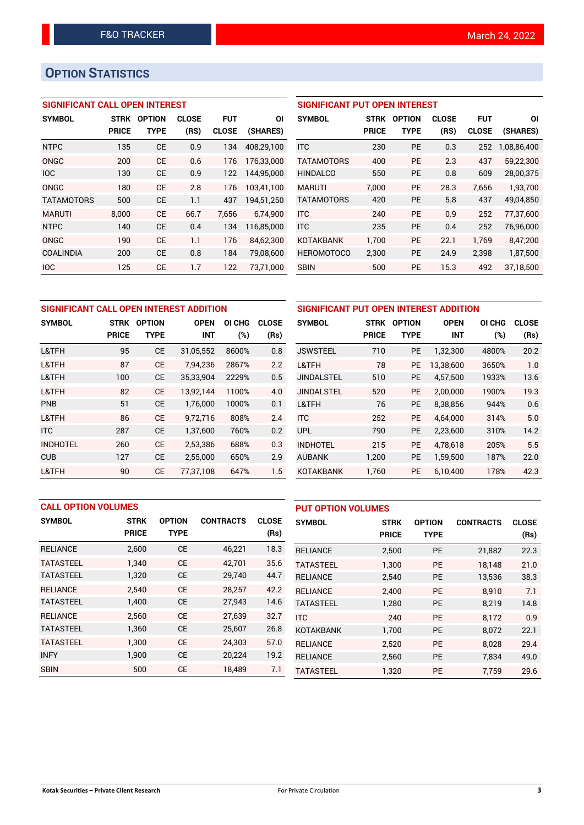# **OPTION STATISTICS**

## **SIGNIFICANT CALL OPEN INTEREST**

| <b>SYMBOL</b>     | STRK         | <b>OPTION</b> | <b>CLOSE</b> | <b>FUT</b>   | ΟI         |
|-------------------|--------------|---------------|--------------|--------------|------------|
|                   | <b>PRICE</b> | TYPE          | (RS)         | <b>CLOSE</b> | (SHARES)   |
| <b>NTPC</b>       | 135          | <b>CE</b>     | 0.9          | 134          | 408,29,100 |
| ONGC              | 200          | CF            | 0.6          | 176          | 176,33,000 |
| IOC               | 130          | <b>CE</b>     | 0.9          | 122          | 144.95.000 |
| ONGC              | 180          | CE            | 2.8          | 176          | 103,41,100 |
| <b>TATAMOTORS</b> | 500          | CE            | 1.1          | 437          | 194,51,250 |
| <b>MARUTI</b>     | 8,000        | CE            | 66.7         | 7,656        | 6,74,900   |
| <b>NTPC</b>       | 140          | CE            | 0.4          | 134          | 116,85,000 |
| ONGC              | 190          | CE            | 1.1          | 176          | 84,62,300  |
| <b>COALINDIA</b>  | 200          | CE            | 0.8          | 184          | 79,08,600  |
| <b>IOC</b>        | 125          | CE            | 1.7          | 122          | 73.71.000  |

| <b>SIGNIFICANT PUT OPEN INTEREST</b> |              |               |              |              |             |  |  |  |  |
|--------------------------------------|--------------|---------------|--------------|--------------|-------------|--|--|--|--|
| <b>SYMBOL</b>                        | <b>STRK</b>  | <b>OPTION</b> | <b>CLOSE</b> | FUT          | ΟI          |  |  |  |  |
|                                      | <b>PRICE</b> | <b>TYPE</b>   | (RS)         | <b>CLOSE</b> | (SHARES)    |  |  |  |  |
| <b>ITC</b>                           | 230          | PF            | 0.3          | 252          | 1,08,86,400 |  |  |  |  |
| <b>TATAMOTORS</b>                    | 400          | PF            | 2.3          | 437          | 59,22,300   |  |  |  |  |
| <b>HINDALCO</b>                      | 550          | PF            | 0.8          | 609          | 28,00,375   |  |  |  |  |
| <b>MARUTI</b>                        | 7.000        | PF            | 28.3         | 7.656        | 1,93,700    |  |  |  |  |
| <b>TATAMOTORS</b>                    | 420          | <b>PE</b>     | 5.8          | 437          | 49,04,850   |  |  |  |  |
| <b>ITC</b>                           | 240          | PF            | 0.9          | 252          | 77.37.600   |  |  |  |  |
| <b>ITC</b>                           | 235          | PF            | 0.4          | 252          | 76,96,000   |  |  |  |  |
| KOTAKBANK                            | 1.700        | PF            | 22.1         | 1.769        | 8,47,200    |  |  |  |  |
| <b>HEROMOTOCO</b>                    | 2,300        | PF            | 24.9         | 2,398        | 1,87,500    |  |  |  |  |
| <b>SBIN</b>                          | 500          | PF            | 15.3         | 492          | 37.18.500   |  |  |  |  |

| SIGNIFICANT CALL OPEN INTEREST ADDITION |              |               |             |        |              | SIGNIFICANT PUT OPEN INTEREST ADDITION |              |               |             |               |              |
|-----------------------------------------|--------------|---------------|-------------|--------|--------------|----------------------------------------|--------------|---------------|-------------|---------------|--------------|
| <b>SYMBOL</b>                           | <b>STRK</b>  | <b>OPTION</b> | <b>OPEN</b> | OI CHG | <b>CLOSE</b> | <b>SYMBOL</b>                          | STRK         | <b>OPTION</b> | <b>OPEN</b> | <b>OI CHG</b> | <b>CLOSE</b> |
|                                         | <b>PRICE</b> | <b>TYPE</b>   | <b>INT</b>  | $(\%)$ | (Rs)         |                                        | <b>PRICE</b> | <b>TYPE</b>   | <b>INT</b>  | (%)           | (Rs)         |
| L&TFH                                   | 95           | <b>CE</b>     | 31,05,552   | 8600%  | 0.8          | <b>JSWSTEEL</b>                        | 710          | <b>PE</b>     | 1,32,300    | 4800%         | 20.2         |
| L&TFH                                   | 87           | <b>CE</b>     | 7.94.236    | 2867%  | 2.2          | L&TFH                                  | 78           | <b>PE</b>     | 13,38,600   | 3650%         | 1.0          |
| L&TFH                                   | 100          | <b>CE</b>     | 35,33,904   | 2229%  | 0.5          | <b>JINDALSTEL</b>                      | 510          | <b>PE</b>     | 4,57,500    | 1933%         | 13.6         |
| L&TFH                                   | 82           | <b>CE</b>     | 13.92.144   | 1100%  | 4.0          | <b>JINDALSTEL</b>                      | 520          | <b>PE</b>     | 2.00.000    | 1900%         | 19.3         |
| PNB                                     | 51           | <b>CE</b>     | 1.76.000    | 1000%  | 0.1          | L&TFH                                  | 76           | <b>PE</b>     | 8,38,856    | 944%          | 0.6          |
| L&TFH                                   | 86           | <b>CE</b>     | 9.72.716    | 808%   | 2.4          | <b>ITC</b>                             | 252          | <b>PE</b>     | 4.64.000    | 314%          | 5.0          |
| <b>ITC</b>                              | 287          | <b>CE</b>     | 1,37,600    | 760%   | 0.2          | <b>UPL</b>                             | 790          | PE            | 2,23,600    | 310%          | 14.2         |
| <b>INDHOTEL</b>                         | 260          | <b>CE</b>     | 2.53.386    | 688%   | 0.3          | <b>INDHOTEL</b>                        | 215          | <b>PE</b>     | 4.78.618    | 205%          | 5.5          |
| <b>CUB</b>                              | 127          | <b>CE</b>     | 2,55,000    | 650%   | 2.9          | <b>AUBANK</b>                          | 1,200        | PE            | 1,59,500    | 187%          | 22.0         |
| L&TFH                                   | 90           | <b>CE</b>     | 77.37.108   | 647%   | 1.5          | <b>KOTAKBANK</b>                       | 1,760        | <b>PE</b>     | 6.10.400    | 178%          | 42.3         |

|                  | <b>CALL OPTION VOLUMES</b>  |                              |                  |                      |                  | <b>PUT OPTION VOLUMES</b>   |                              |                  |                      |  |  |
|------------------|-----------------------------|------------------------------|------------------|----------------------|------------------|-----------------------------|------------------------------|------------------|----------------------|--|--|
| <b>SYMBOL</b>    | <b>STRK</b><br><b>PRICE</b> | <b>OPTION</b><br><b>TYPE</b> | <b>CONTRACTS</b> | <b>CLOSE</b><br>(Rs) | <b>SYMBOL</b>    | <b>STRK</b><br><b>PRICE</b> | <b>OPTION</b><br><b>TYPE</b> | <b>CONTRACTS</b> | <b>CLOSE</b><br>(Rs) |  |  |
| <b>RELIANCE</b>  | 2,600                       | <b>CE</b>                    | 46,221           | 18.3                 | <b>RELIANCE</b>  | 2,500                       | <b>PE</b>                    | 21,882           | 22.3                 |  |  |
| <b>TATASTEEL</b> | 1,340                       | <b>CE</b>                    | 42,701           | 35.6                 | <b>TATASTEEL</b> | 1.300                       | <b>PE</b>                    | 18.148           | 21.0                 |  |  |
| TATASTEEL        | 1,320                       | <b>CE</b>                    | 29,740           | 44.7                 | <b>RELIANCE</b>  | 2,540                       | <b>PE</b>                    | 13,536           | 38.3                 |  |  |
| <b>RELIANCE</b>  | 2,540                       | <b>CE</b>                    | 28,257           | 42.2                 | <b>RELIANCE</b>  | 2.400                       | <b>PE</b>                    | 8.910            | 7.1                  |  |  |
| TATASTEEL        | 1,400                       | <b>CE</b>                    | 27,943           | 14.6                 | <b>TATASTEEL</b> | 1,280                       | <b>PE</b>                    | 8,219            | 14.8                 |  |  |
| <b>RELIANCE</b>  | 2,560                       | <b>CE</b>                    | 27,639           | 32.7                 | <b>ITC</b>       | 240                         | <b>PE</b>                    | 8,172            | 0.9                  |  |  |
| TATASTEEL        | 1,360                       | <b>CE</b>                    | 25,607           | 26.8                 | <b>KOTAKBANK</b> | 1,700                       | <b>PE</b>                    | 8,072            | 22.1                 |  |  |
| <b>TATASTEEL</b> | 1,300                       | <b>CE</b>                    | 24,303           | 57.0                 | <b>RELIANCE</b>  | 2,520                       | <b>PE</b>                    | 8,028            | 29.4                 |  |  |
| <b>INFY</b>      | 1,900                       | <b>CE</b>                    | 20,224           | 19.2                 | <b>RELIANCE</b>  | 2,560                       | <b>PE</b>                    | 7,834            | 49.0                 |  |  |
| <b>SBIN</b>      | 500                         | <b>CE</b>                    | 18,489           | 7.1                  | <b>TATASTEEL</b> | 1,320                       | <b>PE</b>                    | 7,759            | 29.6                 |  |  |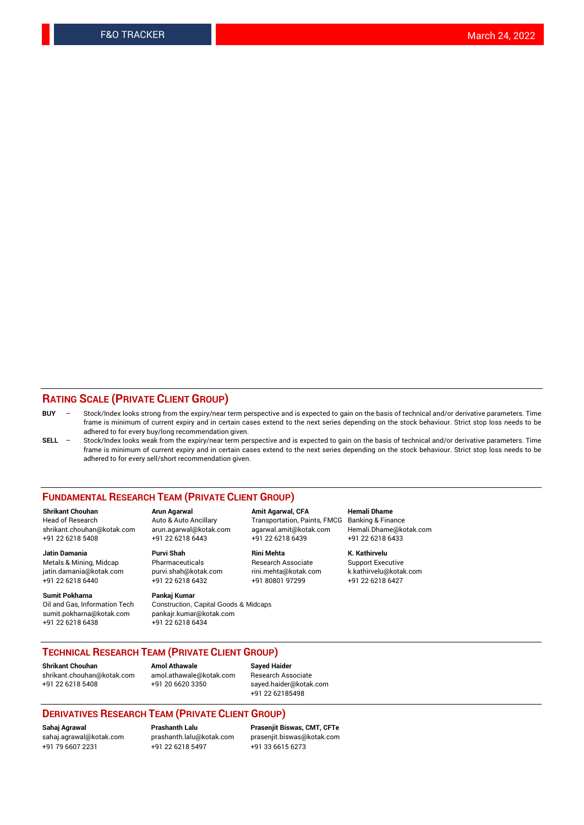### **RATING SCALE (PRIVATE CLIENT GROUP)**

- **BUY**  Stock/Index looks strong from the expiry/near term perspective and is expected to gain on the basis of technical and/or derivative parameters. Time frame is minimum of current expiry and in certain cases extend to the next series depending on the stock behaviour. Strict stop loss needs to be adhered to for every buy/long recommendation given.
- **SELL** Stock/Index looks weak from the expiry/near term perspective and is expected to gain on the basis of technical and/or derivative parameters. Time frame is minimum of current expiry and in certain cases extend to the next series depending on the stock behaviour. Strict stop loss needs to be adhered to for every sell/short recommendation given.

#### **FUNDAMENTAL RESEARCH TEAM (PRIVATE CLIENT GROUP)**

**Shrikant Chouhan Arun Agarwal Amit Agarwal, CFA Hemali Dhame** shrikant.chouhan@kotak.com arun.agarwal@kotak.com agarwal.amit@kotak.com Hemali.Dhame@kotak.com +91 22 6218 5408 +91 22 6218 6443 +91 22 6218 6439 +91 22 6218 6433

Metals & Mining, Midcap Pharmaceuticals Pharmaceuticals Research Associate Support Executive<br>
iatin.damania@kotak.com purvi.shah@kotak.com rini.mehta@kotak.com k.kathirvelu@kotak.com jatin.damania@kotak.com

**Sumit Pokharna** Pankaj Kumar<br>Oil and Gas, Information Tech Construction, sumit.pokharna@kotak.com pankajr.kumar@kotak.com +91 22 6218 6438 +91 22 6218 6434

Construction, Capital Goods & Midcaps

Transportation, Paints, FMCG

**Jatin Damania Purvi Shah Rini Mehta K. Kathirvelu** +91 22 6218 6440 +91 22 6218 6432 +91 80801 97299 +91 22 6218 6427

## **TECHNICAL RESEARCH TEAM (PRIVATE CLIENT GROUP)**

**Shrikant Chouhan Amol Athawale Sayed Haider** [shrikant.chouhan@kotak.com](mailto:shrikant.chouhan@kotak.com) [amol.athawale@kotak.com](mailto:amol.athawale@kotak.com) Research Associate +91 22 6218 5408 +91 20 6620 3350 [sayed.haider@kotak.com](mailto:sayed.haider@kotak.com)

+91 22 62185498

#### **DERIVATIVES RESEARCH TEAM (PRIVATE CLIENT GROUP)**

+91 79 6607 2231 +91 22 6218 5497 +91 33 6615 6273

**Sahaj Agrawal Prashanth Lalu Prasenjit Biswas, CMT, CFTe** [prasenjit.biswas@kotak.com](mailto:prasenjit.biswas@kotak.com)